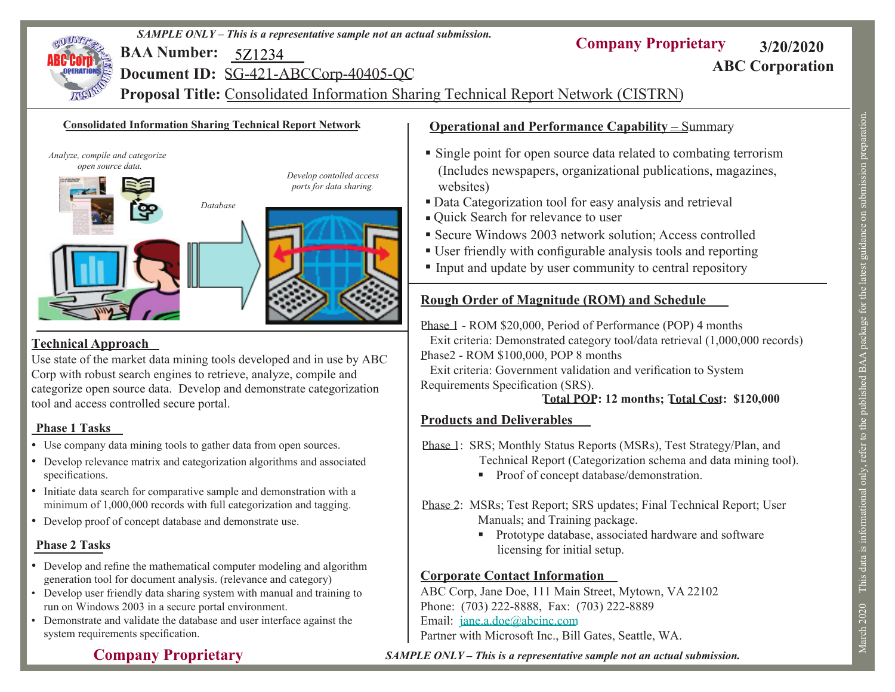

- Use company data mining tools to gather data from open sources.
- Develop relevance matrix and categorization algorithms and associated specifications.
- Initiate data search for comparative sample and demonstration with a minimum of 1,000,000 records with full categorization and tagging.
- Develop proof of concept database and demonstrate use.

**Company Proprietary**

## **Phase 2 Tasks**

- Develop and refine the mathematical computer modeling and algorithm generation tool for document analysis. (relevance and category)
- Develop user friendly data sharing system with manual and training to run on Windows 2003 in a secure portal environment.
- Demonstrate and validate the database and user interface against the system requirements specification.

## *SAMPLE ONLY – This is a representative sample not an actual submission.*

Email: jane.a.doe@abcinc.com

Technical Report (Categorization schema and data mining tool).

■ Proof of concept database/demonstration.

Manuals; and Training package.

licensing for initial setup.

ABC Corp, Jane Doe, 111 Main Street, Mytown, VA 22102

**Corporate Contact Information**

Phone: (703) 222-8888, Fax: (703) 222-8889

Partner with Microsoft Inc., Bill Gates, Seattle, WA.

Phase 2: MSRs; Test Report; SRS updates; Final Technical Report; User

**Prototype database, associated hardware and software** 

March 2020 This data is informational only, refer to the published BAA package for the latest guidance on submission preparation. March 2020 This data is informational only, refer to the published BAA package for the latest guidance on submission preparation.